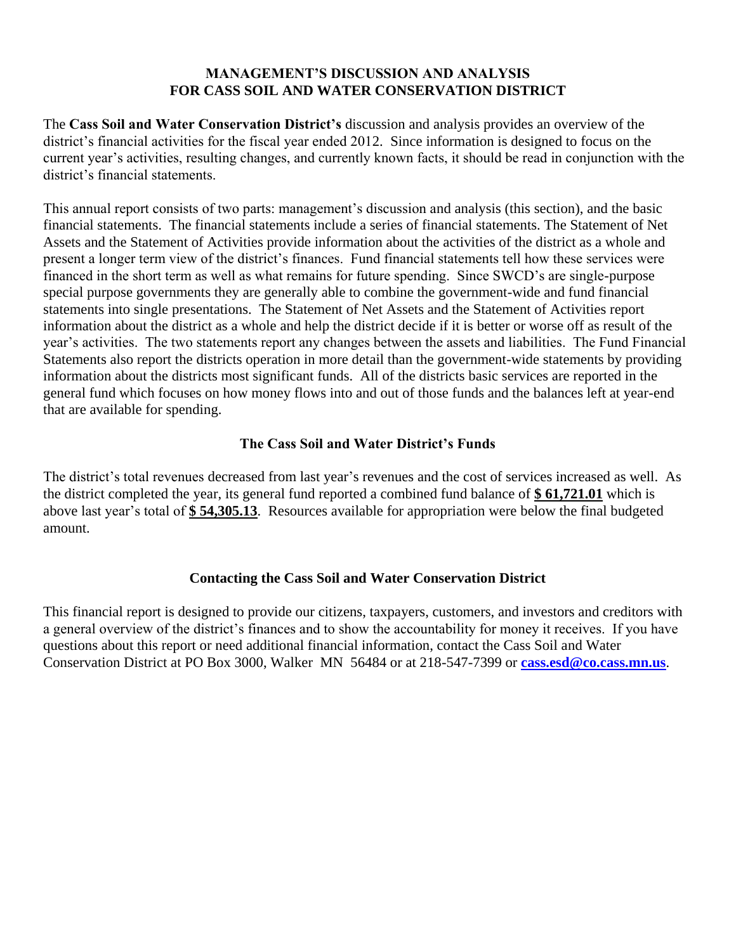## **MANAGEMENT'S DISCUSSION AND ANALYSIS FOR CASS SOIL AND WATER CONSERVATION DISTRICT**

The **Cass Soil and Water Conservation District's** discussion and analysis provides an overview of the district's financial activities for the fiscal year ended 2012. Since information is designed to focus on the current year's activities, resulting changes, and currently known facts, it should be read in conjunction with the district's financial statements.

This annual report consists of two parts: management's discussion and analysis (this section), and the basic financial statements. The financial statements include a series of financial statements. The Statement of Net Assets and the Statement of Activities provide information about the activities of the district as a whole and present a longer term view of the district's finances. Fund financial statements tell how these services were financed in the short term as well as what remains for future spending. Since SWCD's are single-purpose special purpose governments they are generally able to combine the government-wide and fund financial statements into single presentations. The Statement of Net Assets and the Statement of Activities report information about the district as a whole and help the district decide if it is better or worse off as result of the year's activities. The two statements report any changes between the assets and liabilities. The Fund Financial Statements also report the districts operation in more detail than the government-wide statements by providing information about the districts most significant funds. All of the districts basic services are reported in the general fund which focuses on how money flows into and out of those funds and the balances left at year-end that are available for spending.

# **The Cass Soil and Water District's Funds**

The district's total revenues decreased from last year's revenues and the cost of services increased as well. As the district completed the year, its general fund reported a combined fund balance of **\$ 61,721.01** which is above last year's total of **\$ 54,305.13**. Resources available for appropriation were below the final budgeted amount.

## **Contacting the Cass Soil and Water Conservation District**

This financial report is designed to provide our citizens, taxpayers, customers, and investors and creditors with a general overview of the district's finances and to show the accountability for money it receives. If you have questions about this report or need additional financial information, contact the Cass Soil and Water Conservation District at PO Box 3000, Walker MN 56484 or at 218-547-7399 or **[cass.esd@co.cass.mn.us](mailto:cass.esd@co.cass.mn.us)**.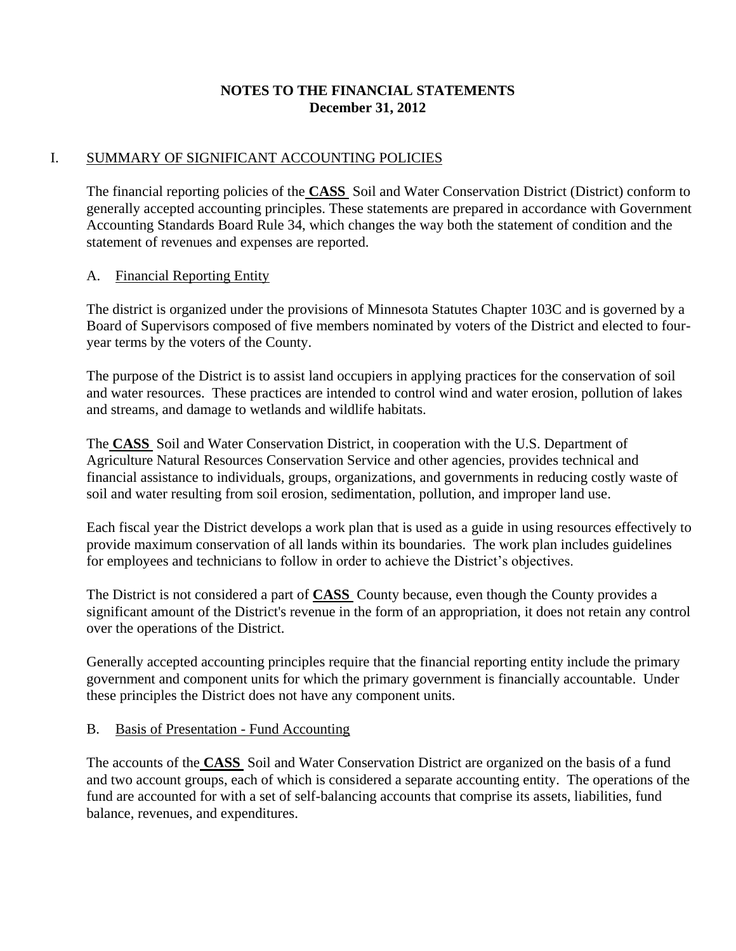# **NOTES TO THE FINANCIAL STATEMENTS December 31, 2012**

## I. SUMMARY OF SIGNIFICANT ACCOUNTING POLICIES

The financial reporting policies of the **CASS** Soil and Water Conservation District (District) conform to generally accepted accounting principles. These statements are prepared in accordance with Government Accounting Standards Board Rule 34, which changes the way both the statement of condition and the statement of revenues and expenses are reported.

## A. Financial Reporting Entity

The district is organized under the provisions of Minnesota Statutes Chapter 103C and is governed by a Board of Supervisors composed of five members nominated by voters of the District and elected to fouryear terms by the voters of the County.

The purpose of the District is to assist land occupiers in applying practices for the conservation of soil and water resources. These practices are intended to control wind and water erosion, pollution of lakes and streams, and damage to wetlands and wildlife habitats.

The **CASS** Soil and Water Conservation District, in cooperation with the U.S. Department of Agriculture Natural Resources Conservation Service and other agencies, provides technical and financial assistance to individuals, groups, organizations, and governments in reducing costly waste of soil and water resulting from soil erosion, sedimentation, pollution, and improper land use.

Each fiscal year the District develops a work plan that is used as a guide in using resources effectively to provide maximum conservation of all lands within its boundaries. The work plan includes guidelines for employees and technicians to follow in order to achieve the District's objectives.

The District is not considered a part of **CASS** County because, even though the County provides a significant amount of the District's revenue in the form of an appropriation, it does not retain any control over the operations of the District.

Generally accepted accounting principles require that the financial reporting entity include the primary government and component units for which the primary government is financially accountable. Under these principles the District does not have any component units.

#### B. Basis of Presentation - Fund Accounting

The accounts of the **CASS** Soil and Water Conservation District are organized on the basis of a fund and two account groups, each of which is considered a separate accounting entity. The operations of the fund are accounted for with a set of self-balancing accounts that comprise its assets, liabilities, fund balance, revenues, and expenditures.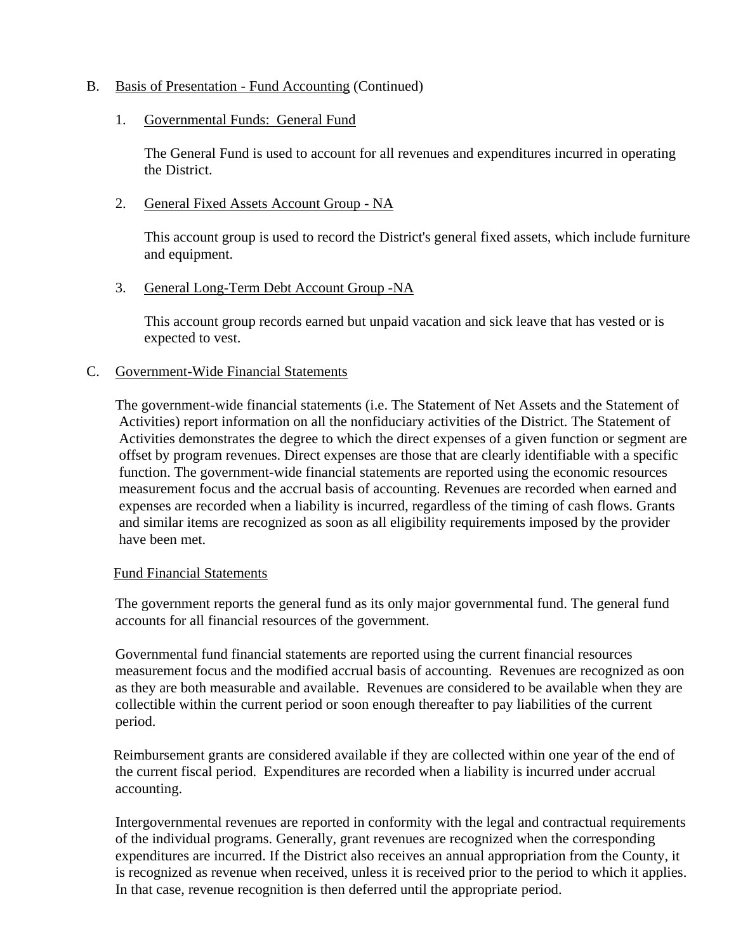### B. Basis of Presentation - Fund Accounting (Continued)

#### 1. Governmental Funds: General Fund

The General Fund is used to account for all revenues and expenditures incurred in operating the District.

### 2. General Fixed Assets Account Group - NA

This account group is used to record the District's general fixed assets, which include furniture and equipment.

### 3. General Long-Term Debt Account Group - NA

This account group records earned but unpaid vacation and sick leave that has vested or is expected to vest.

### C. Government-Wide Financial Statements

The government-wide financial statements (i.e. The Statement of Net Assets and the Statement of Activities) report information on all the nonfiduciary activities of the District. The Statement of Activities demonstrates the degree to which the direct expenses of a given function or segment are offset by program revenues. Direct expenses are those that are clearly identifiable with a specific function. The government-wide financial statements are reported using the economic resources measurement focus and the accrual basis of accounting. Revenues are recorded when earned and expenses are recorded when a liability is incurred, regardless of the timing of cash flows. Grants and similar items are recognized as soon as all eligibility requirements imposed by the provider have been met.

#### Fund Financial Statements

The government reports the general fund as its only major governmental fund. The general fund accounts for all financial resources of the government.

Governmental fund financial statements are reported using the current financial resources measurement focus and the modified accrual basis of accounting. Revenues are recognized as oon as they are both measurable and available. Revenues are considered to be available when they are collectible within the current period or soon enough thereafter to pay liabilities of the current period.

Reimbursement grants are considered available if they are collected within one year of the end of the current fiscal period. Expenditures are recorded when a liability is incurred under accrual accounting.

Intergovernmental revenues are reported in conformity with the legal and contractual requirements of the individual programs. Generally, grant revenues are recognized when the corresponding expenditures are incurred. If the District also receives an annual appropriation from the County, it is recognized as revenue when received, unless it is received prior to the period to which it applies. In that case, revenue recognition is then deferred until the appropriate period.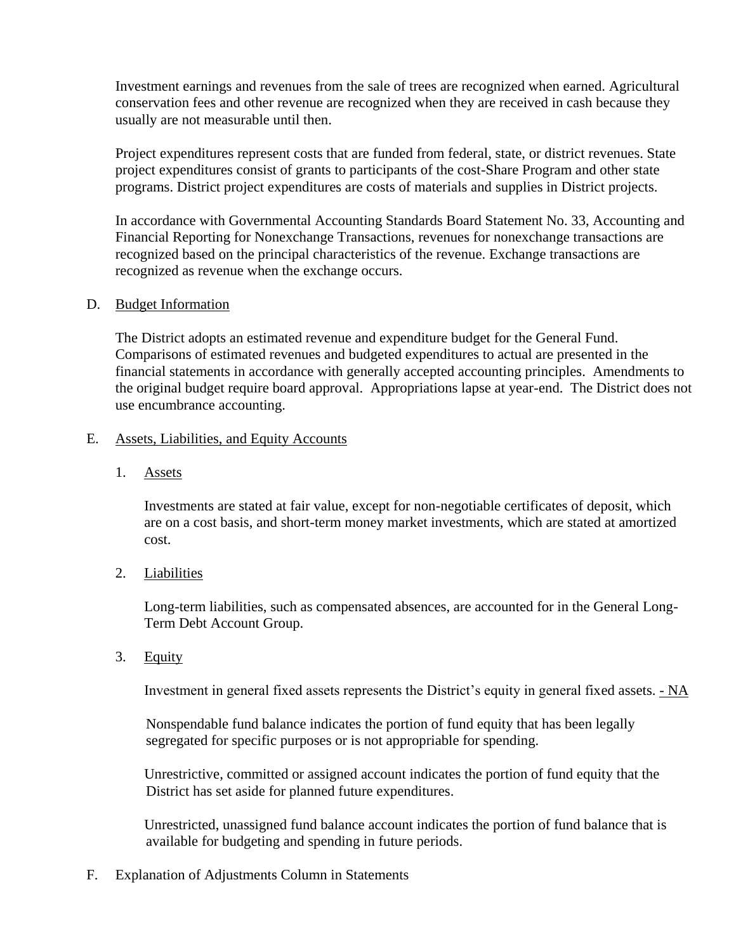Investment earnings and revenues from the sale of trees are recognized when earned. Agricultural conservation fees and other revenue are recognized when they are received in cash because they usually are not measurable until then.

Project expenditures represent costs that are funded from federal, state, or district revenues. State project expenditures consist of grants to participants of the cost-Share Program and other state programs. District project expenditures are costs of materials and supplies in District projects.

In accordance with Governmental Accounting Standards Board Statement No. 33, Accounting and Financial Reporting for Nonexchange Transactions, revenues for nonexchange transactions are recognized based on the principal characteristics of the revenue. Exchange transactions are recognized as revenue when the exchange occurs.

### D. Budget Information

The District adopts an estimated revenue and expenditure budget for the General Fund. Comparisons of estimated revenues and budgeted expenditures to actual are presented in the financial statements in accordance with generally accepted accounting principles. Amendments to the original budget require board approval. Appropriations lapse at year-end. The District does not use encumbrance accounting.

### E. Assets, Liabilities, and Equity Accounts

1. Assets

Investments are stated at fair value, except for non-negotiable certificates of deposit, which are on a cost basis, and short-term money market investments, which are stated at amortized cost.

## 2. Liabilities

Long-term liabilities, such as compensated absences, are accounted for in the General Long-Term Debt Account Group.

3. Equity

Investment in general fixed assets represents the District's equity in general fixed assets. - NA

Nonspendable fund balance indicates the portion of fund equity that has been legally segregated for specific purposes or is not appropriable for spending.

Unrestrictive, committed or assigned account indicates the portion of fund equity that the District has set aside for planned future expenditures.

Unrestricted, unassigned fund balance account indicates the portion of fund balance that is available for budgeting and spending in future periods.

F. Explanation of Adjustments Column in Statements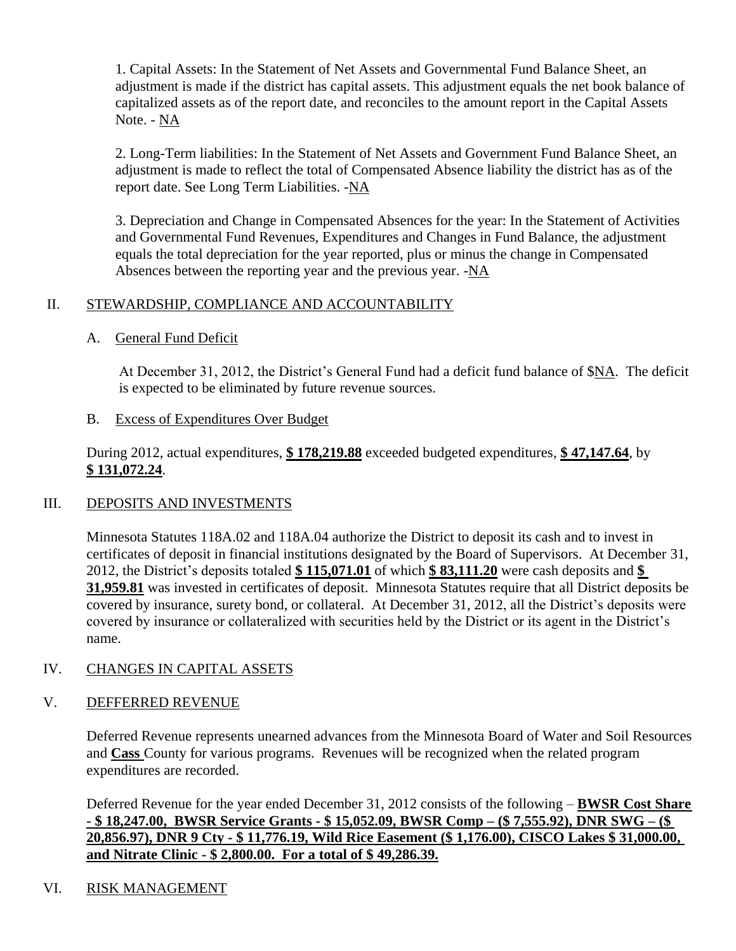1. Capital Assets: In the Statement of Net Assets and Governmental Fund Balance Sheet, an adjustment is made if the district has capital assets. This adjustment equals the net book balance of capitalized assets as of the report date, and reconciles to the amount report in the Capital Assets Note. - NA

2. Long-Term liabilities: In the Statement of Net Assets and Government Fund Balance Sheet, an adjustment is made to reflect the total of Compensated Absence liability the district has as of the report date. See Long Term Liabilities. -NA

3. Depreciation and Change in Compensated Absences for the year: In the Statement of Activities and Governmental Fund Revenues, Expenditures and Changes in Fund Balance, the adjustment equals the total depreciation for the year reported, plus or minus the change in Compensated Absences between the reporting year and the previous year. -NA

# II. STEWARDSHIP, COMPLIANCE AND ACCOUNTABILITY

## A. General Fund Deficit

At December 31, 2012, the District's General Fund had a deficit fund balance of \$NA. The deficit is expected to be eliminated by future revenue sources.

## B. Excess of Expenditures Over Budget

During 2012, actual expenditures, **\$ 178,219.88** exceeded budgeted expenditures, **\$ 47,147.64**, by **\$ 131,072.24**.

## III. DEPOSITS AND INVESTMENTS

Minnesota Statutes 118A.02 and 118A.04 authorize the District to deposit its cash and to invest in certificates of deposit in financial institutions designated by the Board of Supervisors. At December 31, 2012, the District's deposits totaled **\$ 115,071.01** of which **\$ 83,111.20** were cash deposits and **\$ 31,959.81** was invested in certificates of deposit. Minnesota Statutes require that all District deposits be covered by insurance, surety bond, or collateral. At December 31, 2012, all the District's deposits were covered by insurance or collateralized with securities held by the District or its agent in the District's name.

## IV. CHANGES IN CAPITAL ASSETS

## V. DEFFERRED REVENUE

Deferred Revenue represents unearned advances from the Minnesota Board of Water and Soil Resources and **Cass** County for various programs. Revenues will be recognized when the related program expenditures are recorded.

Deferred Revenue for the year ended December 31, 2012 consists of the following – **BWSR Cost Share - \$ 18,247.00, BWSR Service Grants - \$ 15,052.09, BWSR Comp – (\$ 7,555.92), DNR SWG – (\$ 20,856.97), DNR 9 Cty - \$ 11,776.19, Wild Rice Easement (\$ 1,176.00), CISCO Lakes \$ 31,000.00, and Nitrate Clinic - \$ 2,800.00. For a total of \$ 49,286.39.**

# VI. RISK MANAGEMENT